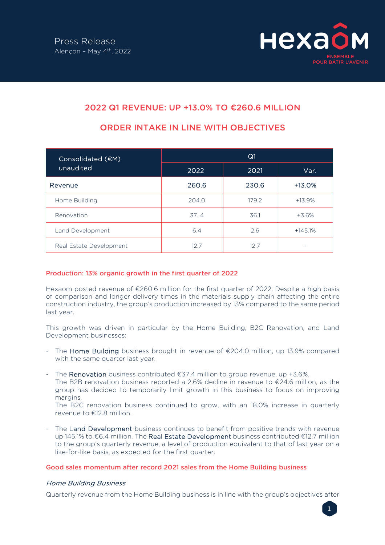

# 2022 Q1 REVENUE: UP +13.0% TO €260.6 MILLION

| Consolidated (€M)<br>unaudited | Q1    |       |           |
|--------------------------------|-------|-------|-----------|
|                                | 2022  | 2021  | Var.      |
| Revenue                        | 260.6 | 230.6 | $+13.0%$  |
| Home Building                  | 204.0 | 179.2 | $+13.9%$  |
| Renovation                     | 37.4  | 36.1  | +3.6%     |
| Land Development               | 6.4   | 2.6   | $+145.1%$ |
| Real Estate Development        | 12.7  | 12.7  |           |

# ORDER INTAKE IN LINE WITH OBJECTIVES

## Production: 13% organic growth in the first quarter of 2022

Hexaom posted revenue of €260.6 million for the first quarter of 2022. Despite a high basis of comparison and longer delivery times in the materials supply chain affecting the entire construction industry, the group's production increased by 13% compared to the same period last year.

This growth was driven in particular by the Home Building, B2C Renovation, and Land Development businesses:

- The Home Building business brought in revenue of  $\epsilon$ 204.0 million, up 13.9% compared with the same quarter last year.
- The Renovation business contributed  $£37.4$  million to group revenue, up  $+3.6\%$ .

The B2B renovation business reported a 2.6% decline in revenue to €24.6 million, as the group has decided to temporarily limit growth in this business to focus on improving margins.

The B2C renovation business continued to grow, with an 18.0% increase in quarterly revenue to €12.8 million.

The Land Development business continues to benefit from positive trends with revenue up 145.1% to €6.4 million. The Real Estate Development business contributed €12.7 million to the group's quarterly revenue, a level of production equivalent to that of last year on a like-for-like basis, as expected for the first quarter.

## Good sales momentum after record 2021 sales from the Home Building business

# Home Building Business

Quarterly revenue from the Home Building business is in line with the group's objectives after

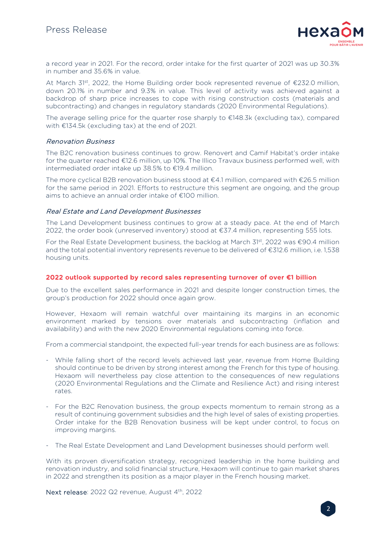

a record year in 2021. For the record, order intake for the first quarter of 2021 was up 30.3% in number and 35.6% in value.

At March 31<sup>st</sup>, 2022, the Home Building order book represented revenue of €232.0 million, down 20.1% in number and 9.3% in value. This level of activity was achieved against a backdrop of sharp price increases to cope with rising construction costs (materials and subcontracting) and changes in regulatory standards (2020 Environmental Regulations).

The average selling price for the quarter rose sharply to  $E148.3k$  (excluding tax), compared with €134.5k (excluding tax) at the end of 2021.

## Renovation Business

The B2C renovation business continues to grow. Renovert and Camif Habitat's order intake for the quarter reached €12.6 million, up 10%. The Illico Travaux business performed well, with intermediated order intake up 38.5% to €19.4 million.

The more cyclical B2B renovation business stood at €4.1 million, compared with €26.5 million for the same period in 2021. Efforts to restructure this segment are ongoing, and the group aims to achieve an annual order intake of €100 million.

### Real Estate and Land Development Businesses

The Land Development business continues to grow at a steady pace. At the end of March 2022, the order book (unreserved inventory) stood at €37.4 million, representing 555 lots.

For the Real Estate Development business, the backlog at March 31<sup>st</sup>, 2022 was €90.4 million and the total potential inventory represents revenue to be delivered of €312.6 million, i.e. 1,538 housing units.

#### 2022 outlook supported by record sales representing turnover of over €1 billion

Due to the excellent sales performance in 2021 and despite longer construction times, the group's production for 2022 should once again grow.

However, Hexaom will remain watchful over maintaining its margins in an economic environment marked by tensions over materials and subcontracting (inflation and availability) and with the new 2020 Environmental regulations coming into force.

From a commercial standpoint, the expected full-year trends for each business are as follows:

- While falling short of the record levels achieved last year, revenue from Home Building should continue to be driven by strong interest among the French for this type of housing. Hexaom will nevertheless pay close attention to the consequences of new regulations (2020 Environmental Regulations and the Climate and Resilience Act) and rising interest rates.
- For the B2C Renovation business, the group expects momentum to remain strong as a result of continuing government subsidies and the high level of sales of existing properties. Order intake for the B2B Renovation business will be kept under control, to focus on improving margins.
- The Real Estate Development and Land Development businesses should perform well.

With its proven diversification strategy, recognized leadership in the home building and renovation industry, and solid financial structure, Hexaom will continue to gain market shares in 2022 and strengthen its position as a major player in the French housing market.

Next release: 2022 Q2 revenue, August 4<sup>th</sup>, 2022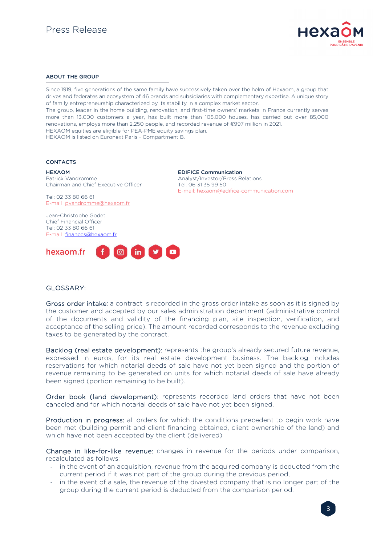

#### ABOUT THE GROUP

Since 1919, five generations of the same family have successively taken over the helm of Hexaom, a group that drives and federates an ecosystem of 46 brands and subsidiaries with complementary expertise. A unique story of family entrepreneurship characterized by its stability in a complex market sector. The group, leader in the home building, renovation, and first-time owners' markets in France currently serves more than 13,000 customers a year, has built more than 105,000 houses, has carried out over 85,000 renovations, employs more than 2,250 people, and recorded revenue of €997 million in 2021. HEXAOM equities are eligible for PEA-PME equity savings plan. HEXAOM is listed on Euronext Paris - Compartment B.

> EDIFICE Communication Analyst/Investor/Press Relations

E-mail: hexaom@edifice-communication.com

Tel: 06 31 35 99 50

#### **CONTACTS**

HEXAOM Patrick Vandromme

Chairman and Chief Executive Officer

Tel: 02 33 80 66 61 E-mail pvandromme@hexaom.fr

Jean-Christophe Godet Chief Financial Officer Tel: 02 33 80 66 61 E-mail finances@hexaom.fr

**O** in **y** o hexaom.fr

## GLOSSARY:

Gross order intake: a contract is recorded in the gross order intake as soon as it is signed by the customer and accepted by our sales administration department (administrative control of the documents and validity of the financing plan, site inspection, verification, and acceptance of the selling price). The amount recorded corresponds to the revenue excluding taxes to be generated by the contract.

Backlog (real estate development): represents the group's already secured future revenue, expressed in euros, for its real estate development business. The backlog includes reservations for which notarial deeds of sale have not yet been signed and the portion of revenue remaining to be generated on units for which notarial deeds of sale have already been signed (portion remaining to be built).

Order book (land development): represents recorded land orders that have not been canceled and for which notarial deeds of sale have not yet been signed.

Production in progress: all orders for which the conditions precedent to begin work have been met (building permit and client financing obtained, client ownership of the land) and which have not been accepted by the client (delivered)

Change in like-for-like revenue: changes in revenue for the periods under comparison, recalculated as follows:

- in the event of an acquisition, revenue from the acquired company is deducted from the current period if it was not part of the group during the previous period,
- in the event of a sale, the revenue of the divested company that is no longer part of the group during the current period is deducted from the comparison period.

3